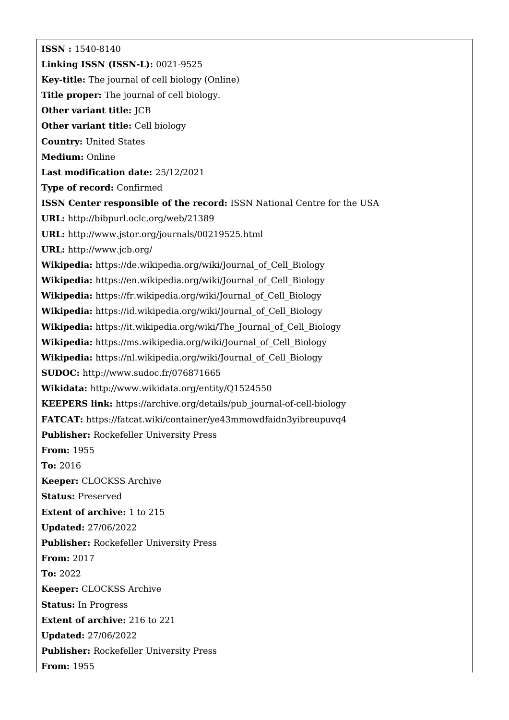**ISSN :** 1540-8140 **Linking ISSN (ISSN-L):** 0021-9525 **Key-title:** The journal of cell biology (Online) **Title proper:** The journal of cell biology. **Other variant title:** JCB **Other variant title:** Cell biology **Country:** United States **Medium:** Online **Last modification date:** 25/12/2021 **Type of record:** Confirmed **ISSN Center responsible of the record:** ISSN National Centre for the USA **URL:** <http://bibpurl.oclc.org/web/21389> **URL:** <http://www.jstor.org/journals/00219525.html> **URL:** <http://www.jcb.org/> **Wikipedia:** [https://de.wikipedia.org/wiki/Journal\\_of\\_Cell\\_Biology](https://de.wikipedia.org/wiki/Journal_of_Cell_Biology) **Wikipedia:** [https://en.wikipedia.org/wiki/Journal\\_of\\_Cell\\_Biology](https://en.wikipedia.org/wiki/Journal_of_Cell_Biology) **Wikipedia:** [https://fr.wikipedia.org/wiki/Journal\\_of\\_Cell\\_Biology](https://fr.wikipedia.org/wiki/Journal_of_Cell_Biology) **Wikipedia:** [https://id.wikipedia.org/wiki/Journal\\_of\\_Cell\\_Biology](https://id.wikipedia.org/wiki/Journal_of_Cell_Biology) **Wikipedia:** [https://it.wikipedia.org/wiki/The\\_Journal\\_of\\_Cell\\_Biology](https://it.wikipedia.org/wiki/The_Journal_of_Cell_Biology) **Wikipedia:** [https://ms.wikipedia.org/wiki/Journal\\_of\\_Cell\\_Biology](https://ms.wikipedia.org/wiki/Journal_of_Cell_Biology) **Wikipedia:** [https://nl.wikipedia.org/wiki/Journal\\_of\\_Cell\\_Biology](https://nl.wikipedia.org/wiki/Journal_of_Cell_Biology) **SUDOC:** <http://www.sudoc.fr/076871665> **Wikidata:** <http://www.wikidata.org/entity/Q1524550> **KEEPERS link:** [https://archive.org/details/pub\\_journal-of-cell-biology](https://archive.org/details/pub_journal-of-cell-biology) **FATCAT:** <https://fatcat.wiki/container/ye43mmowdfaidn3yibreupuvq4> **Publisher:** Rockefeller University Press **From:** 1955 **To:** 2016 **Keeper:** CLOCKSS Archive **Status:** Preserved **Extent of archive:** 1 to 215 **Updated:** 27/06/2022 **Publisher:** Rockefeller University Press **From:** 2017 **To:** 2022 **Keeper:** CLOCKSS Archive **Status:** In Progress **Extent of archive:** 216 to 221 **Updated:** 27/06/2022 **Publisher:** Rockefeller University Press **From:** 1955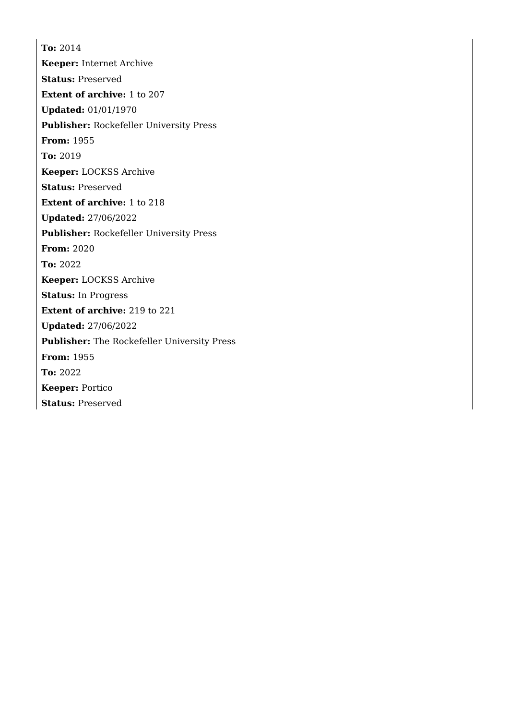**To:** 2014 **Keeper:** Internet Archive **Status:** Preserved **Extent of archive:** 1 to 207 **Updated:** 01/01/1970 **Publisher:** Rockefeller University Press **From:** 1955 **To:** 2019 **Keeper:** LOCKSS Archive **Status:** Preserved **Extent of archive:** 1 to 218 **Updated:** 27/06/2022 **Publisher:** Rockefeller University Press **From:** 2020 **To:** 2022 **Keeper:** LOCKSS Archive **Status:** In Progress **Extent of archive:** 219 to 221 **Updated:** 27/06/2022 **Publisher:** The Rockefeller University Press **From:** 1955 **To:** 2022 **Keeper:** Portico **Status:** Preserved